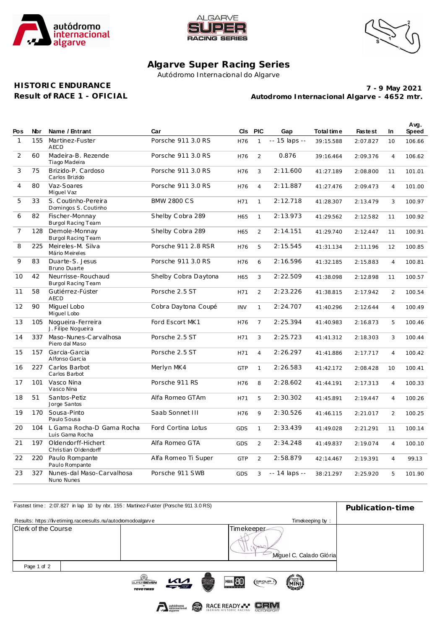





## **Algarve Super Racing Series**

Autódromo Internacional do Algarve

## **HISTORIC ENDURANCE Result of RACE 1 - OFICIAL**

**Autodromo Internacional Algarve - 4652 mtr. 7 - 9 May 2021**

|                |     |                                              |                      |            |                |               |            |                |                | Avg.         |
|----------------|-----|----------------------------------------------|----------------------|------------|----------------|---------------|------------|----------------|----------------|--------------|
| <b>Pos</b>     | Nbr | Name / Entrant                               | Car                  | CIs.       | <b>PIC</b>     | Gap           | Total time | <b>Fastest</b> | In.            | <b>Speed</b> |
| $\mathbf{1}$   | 155 | Martinez-Fuster<br><b>AECD</b>               | Porsche 911 3.0 RS   | H76        | $\mathbf{1}$   | -- 15 laps -- | 39:15.588  | 2:07.827       | 10             | 106.66       |
| 2              | 60  | Madeira-B. Rezende<br>Tiago Madeira          | Porsche 911 3.0 RS   | H76        | $\overline{2}$ | 0.876         | 39:16.464  | 2:09.376       | $\overline{4}$ | 106.62       |
| 3              | 75  | Brizido-P. Cardoso<br>Carlos Brizido         | Porsche 911 3.0 RS   | H76        | 3              | 2:11.600      | 41:27.189  | 2:08.800       | 11             | 101.01       |
| $\overline{4}$ | 80  | Vaz-Soares<br>Miguel Vaz                     | Porsche 911 3.0 RS   | H76        | $\overline{4}$ | 2:11.887      | 41:27.476  | 2:09.473       | $\overline{4}$ | 101.00       |
| 5              | 33  | S. Coutinho-Pereira<br>Domingos S. Coutinho  | <b>BMW 2800 CS</b>   | H71        | $\mathbf{1}$   | 2:12.718      | 41:28.307  | 2:13.479       | 3              | 100.97       |
| 6              | 82  | Fischer-Monnay<br>Burgol Racing Team         | Shelby Cobra 289     | H65        | $\mathbf{1}$   | 2:13.973      | 41:29.562  | 2:12.582       | 11             | 100.92       |
| $\overline{7}$ | 128 | Demole-Monnay<br>Burgol Racing Team          | Shelby Cobra 289     | H65        | $\overline{2}$ | 2:14.151      | 41:29.740  | 2:12.447       | 11             | 100.91       |
| 8              | 225 | Meireles-M. Silva<br>Mário Meireles          | Porsche 911 2.8 RSR  | H76        | 5              | 2:15.545      | 41:31.134  | 2:11.196       | 12             | 100.85       |
| 9              | 83  | Duarte-S. Jesus<br>Bruno Duarte              | Porsche 911 3.0 RS   | H76        | 6              | 2:16.596      | 41:32.185  | 2:15.883       | $\overline{4}$ | 100.81       |
| 10             | 42  | Neurrisse-Rouchaud<br>Burgol Racing Team     | Shelby Cobra Daytona | H65        | 3              | 2:22.509      | 41:38.098  | 2:12.898       | 11             | 100.57       |
| 11             | 58  | Gutiérrez-Fúster<br><b>AECD</b>              | Porsche 2.5 ST       | H71        | $\overline{2}$ | 2:23.226      | 41:38.815  | 2:17.942       | 2              | 100.54       |
| 12             | 90  | Miguel Lobo<br>Miguel Lobo                   | Cobra Daytona Coupé  | <b>INV</b> | $\mathbf{1}$   | 2:24.707      | 41:40.296  | 2:12.644       | $\overline{4}$ | 100.49       |
| 13             | 105 | Noqueira-Ferreira<br>J. Filipe Noqueira      | Ford Escort MK1      | H76        | $\overline{7}$ | 2:25.394      | 41:40.983  | 2:16.873       | 5              | 100.46       |
| 14             | 337 | Maso-Nunes-Carvalhosa<br>Piero dal Maso      | Porsche 2.5 ST       | H71        | 3              | 2:25.723      | 41:41.312  | 2:18.303       | 3              | 100.44       |
| 15             | 157 | Garcia-Garcia<br>Alfonso Garcia              | Porsche 2.5 ST       | H71        | $\overline{4}$ | 2:26.297      | 41:41.886  | 2:17.717       | $\overline{4}$ | 100.42       |
| 16             |     | 227 Carlos Barbot<br>Carlos Barbot           | Merlyn MK4           | <b>GTP</b> | $\mathbf{1}$   | 2:26.583      | 41:42.172  | 2:08.428       | 10             | 100.41       |
| 17             | 101 | Vasco Nina<br>Vasco Nina                     | Porsche 911 RS       | H76        | 8              | 2:28.602      | 41:44.191  | 2:17.313       | $\overline{4}$ | 100.33       |
| 18             | 51  | Santos-Petiz<br>Jorge Santos                 | Alfa Romeo GTAm      | H71        | 5              | 2:30.302      | 41:45.891  | 2:19.447       | $\overline{4}$ | 100.26       |
| 19             | 170 | Sousa-Pinto<br>Paulo Sousa                   | Saab Sonnet III      | H76        | 9              | 2:30.526      | 41:46.115  | 2:21.017       | $\overline{2}$ | 100.25       |
| 20             | 104 | L Gama Rocha-D Gama Rocha<br>Luis Gama Rocha | Ford Cortina Lotus   | <b>GDS</b> | $\mathbf{1}$   | 2:33.439      | 41:49.028  | 2:21.291       | 11             | 100.14       |
| 21             | 197 | Oldendorff-Hichert<br>Christian Oldendorff   | Alfa Romeo GTA       | <b>GDS</b> | $\overline{2}$ | 2:34.248      | 41:49.837  | 2:19.074       | $\overline{4}$ | 100.10       |
| 22             | 220 | Paulo Rompante<br>Paulo Rompante             | Alfa Romeo Ti Super  | <b>GTP</b> | $\overline{2}$ | 2:58.879      | 42:14.467  | 2:19.391       | $\overline{4}$ | 99.13        |
| 23             | 327 | Nunes-dal Maso-Carvalhosa<br>Nuno Nunes      | Porsche 911 SWB      | <b>GDS</b> | 3              | -- 14 laps -- | 38:21.297  | 2:25.920       | 5              | 101.90       |

| Fastest time: 2:07.827 in lap 10 by nbr. 155: Martinez-Fuster (Porsche 911 3.0 RS) | Publication-time                |               |          |                                       |                 |                 |  |
|------------------------------------------------------------------------------------|---------------------------------|---------------|----------|---------------------------------------|-----------------|-----------------|--|
| Results: https://livetiming.raceresults.nu/autodromodoalgarve                      |                                 |               |          |                                       | Timekeeping by: |                 |  |
| Clerk of the Course                                                                |                                 |               |          | Timekeeper<br>Miguel C. Calado Glória |                 |                 |  |
| Page 1 of 2                                                                        |                                 |               |          |                                       |                 |                 |  |
|                                                                                    | SUPERSEVEN<br><b>TOVO TIDES</b> | $\mathcal{U}$ | HISTORIC | <b>HIMT</b> 80                        | $(g$ ROUP $)$   | TROFEUT<br>MINI |  |

RACE READY - CRIM